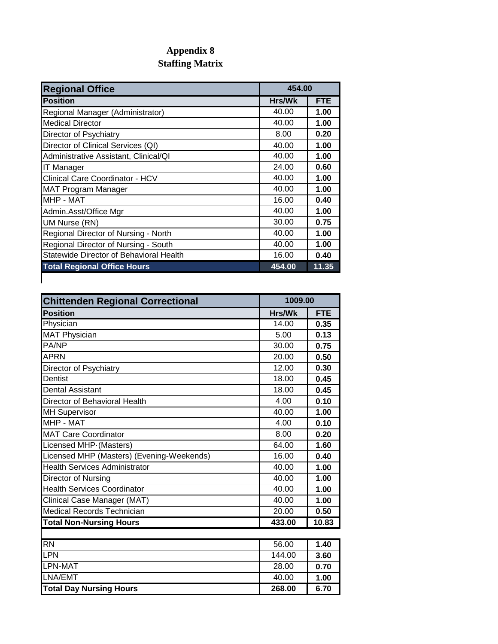## **Appendix 8 Staffing Matrix**

| <b>Regional Office</b>                  | 454.00 |            |
|-----------------------------------------|--------|------------|
| <b>Position</b>                         | Hrs/Wk | <b>FTE</b> |
| Regional Manager (Administrator)        | 40.00  | 1.00       |
| <b>Medical Director</b>                 | 40.00  | 1.00       |
| Director of Psychiatry                  | 8.00   | 0.20       |
| Director of Clinical Services (QI)      | 40.00  | 1.00       |
| Administrative Assistant, Clinical/QI   | 40.00  | 1.00       |
| <b>IT Manager</b>                       | 24.00  | 0.60       |
| <b>Clinical Care Coordinator - HCV</b>  | 40.00  | 1.00       |
| <b>MAT Program Manager</b>              | 40.00  | 1.00       |
| MHP - MAT                               | 16.00  | 0.40       |
| Admin.Asst/Office Mgr                   | 40.00  | 1.00       |
| UM Nurse (RN)                           | 30.00  | 0.75       |
| Regional Director of Nursing - North    | 40.00  | 1.00       |
| Regional Director of Nursing - South    | 40.00  | 1.00       |
| Statewide Director of Behavioral Health | 16.00  | 0.40       |
| <b>Total Regional Office Hours</b>      | 454.00 | 11.35      |
|                                         |        |            |

| <b>Chittenden Regional Correctional</b>   | 1009.00 |            |
|-------------------------------------------|---------|------------|
| <b>Position</b>                           | Hrs/Wk  | <b>FTE</b> |
| Physician                                 | 14.00   | 0.35       |
| <b>MAT Physician</b>                      | 5.00    | 0.13       |
| PA/NP                                     | 30.00   | 0.75       |
| <b>APRN</b>                               | 20.00   | 0.50       |
| Director of Psychiatry                    | 12.00   | 0.30       |
| <b>Dentist</b>                            | 18.00   | 0.45       |
| <b>Dental Assistant</b>                   | 18.00   | 0.45       |
| Director of Behavioral Health             | 4.00    | 0.10       |
| <b>MH Supervisor</b>                      | 40.00   | 1.00       |
| MHP - MAT                                 | 4.00    | 0.10       |
| <b>MAT Care Coordinator</b>               | 8.00    | 0.20       |
| Licensed MHP (Masters)                    | 64.00   | 1.60       |
| Licensed MHP (Masters) (Evening-Weekends) | 16.00   | 0.40       |
| <b>Health Services Administrator</b>      | 40.00   | 1.00       |
| Director of Nursing                       | 40.00   | 1.00       |
| <b>Health Services Coordinator</b>        | 40.00   | 1.00       |
| Clinical Case Manager (MAT)               | 40.00   | 1.00       |
| Medical Records Technician                | 20.00   | 0.50       |
| <b>Total Non-Nursing Hours</b>            | 433.00  | 10.83      |
|                                           |         |            |
| <b>RN</b>                                 | 56.00   | 1.40       |
| LPN                                       | 144.00  | 3.60       |
| LPN-MAT                                   | 28.00   | 0.70       |
| LNA/EMT                                   | 40.00   | 1.00       |
| <b>Total Day Nursing Hours</b>            | 268.00  | 6.70       |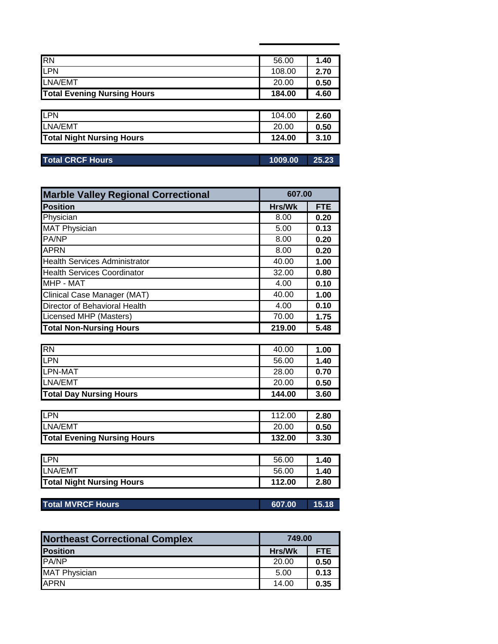| <b>RN</b>                          | 56.00  | 1.40 |
|------------------------------------|--------|------|
| <b>LPN</b>                         | 108.00 | 2.70 |
| LNA/EMT                            | 20.00  | 0.50 |
| <b>Total Evening Nursing Hours</b> | 184.00 | 4.60 |
|                                    |        |      |
| LPN                                | 104.00 | 2.60 |
| LNA/EMT                            | 20.00  | 0.50 |
|                                    |        |      |

| <b>Total CRCF Hours</b> | 1009.00 |  |
|-------------------------|---------|--|
|                         |         |  |

| <b>Marble Valley Regional Correctional</b> | 607.00 |            |
|--------------------------------------------|--------|------------|
| Position                                   | Hrs/Wk | <b>FTE</b> |
| Physician                                  | 8.00   | 0.20       |
| <b>MAT Physician</b>                       | 5.00   | 0.13       |
| <b>PA/NP</b>                               | 8.00   | 0.20       |
| <b>APRN</b>                                | 8.00   | 0.20       |
| <b>Health Services Administrator</b>       | 40.00  | 1.00       |
| <b>Health Services Coordinator</b>         | 32.00  | 0.80       |
| MHP - MAT                                  | 4.00   | 0.10       |
| Clinical Case Manager (MAT)                | 40.00  | 1.00       |
| Director of Behavioral Health              | 4.00   | 0.10       |
| Licensed MHP (Masters)                     | 70.00  | 1.75       |
| <b>Total Non-Nursing Hours</b>             | 219.00 | 5.48       |

| <b>RN</b>                      | 40.00  | 1.00 |
|--------------------------------|--------|------|
| <b>ILPN</b>                    | 56.00  | 1.40 |
| LPN-MAT                        | 28.00  | 0.70 |
| LNA/EMT                        | 20.00  | 0.50 |
| <b>Total Day Nursing Hours</b> | 144.00 | 3.60 |

| <b>ILPN</b><br>LNA/EMT             | 112.00          | 2.80         |
|------------------------------------|-----------------|--------------|
| <b>Total Evening Nursing Hours</b> | 20.00<br>132.00 | 0.50<br>3.30 |

| <b>LPN</b>                       | 56.00  | 1.40 |
|----------------------------------|--------|------|
| LNA/EMT                          | 56.00  | .40، |
| <b>Total Night Nursing Hours</b> | 112.00 | 2.80 |

| <b>Total MVRCF Hours</b><br>607.00<br>15.18 |
|---------------------------------------------|
|---------------------------------------------|

| <b>Northeast Correctional Complex</b> | 749.00 |            |
|---------------------------------------|--------|------------|
| <b>Position</b>                       | Hrs/Wk | <b>FTE</b> |
| <b>PA/NP</b>                          | 20.00  | 0.50       |
| <b>MAT Physician</b>                  | 5.00   | 0.13       |
| <b>APRN</b>                           | 14.00  | 0.35       |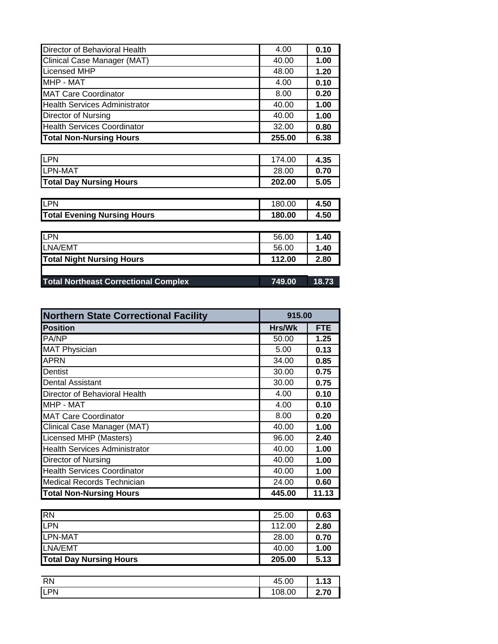| Director of Behavioral Health        | 4.00   | 0.10 |
|--------------------------------------|--------|------|
| Clinical Case Manager (MAT)          | 40.00  | 1.00 |
| <b>Licensed MHP</b>                  | 48.00  | 1.20 |
| <b>MHP - MAT</b>                     | 4.00   | 0.10 |
| <b>MAT Care Coordinator</b>          | 8.00   | 0.20 |
| <b>Health Services Administrator</b> | 40.00  | 1.00 |
| Director of Nursing                  | 40.00  | 1.00 |
| <b>Health Services Coordinator</b>   | 32.00  | 0.80 |
| <b>Total Non-Nursing Hours</b>       | 255.00 | 6.38 |
|                                      |        |      |
| LPN                                  | 174.00 | 4.35 |
| <b>LPN-MAT</b>                       | 28.00  | 0.70 |
| <b>Total Day Nursing Hours</b>       | 202.00 | 5.05 |
|                                      |        |      |
| <b>LPN</b>                           | 180.00 | 4.50 |
| <b>Total Evening Nursing Hours</b>   | 180.00 | 4.50 |
|                                      |        |      |
| LPN                                  | 56.00  | 1.40 |
| LNA/EMT                              | 56.00  | 1.40 |
| <b>Total Night Nursing Hours</b>     | 112.00 | 2.80 |
|                                      |        |      |

| <b>Total Northeast Correctional Complex</b> | 749.00 18.73 |  |
|---------------------------------------------|--------------|--|
|                                             |              |  |

| <b>Northern State Correctional Facility</b> | 915.00 |            |
|---------------------------------------------|--------|------------|
| <b>Position</b>                             | Hrs/Wk | <b>FTE</b> |
| PA/NP                                       | 50.00  | 1.25       |
| <b>MAT Physician</b>                        | 5.00   | 0.13       |
| <b>APRN</b>                                 | 34.00  | 0.85       |
| Dentist                                     | 30.00  | 0.75       |
| Dental Assistant                            | 30.00  | 0.75       |
| Director of Behavioral Health               | 4.00   | 0.10       |
| MHP - MAT                                   | 4.00   | 0.10       |
| <b>MAT Care Coordinator</b>                 | 8.00   | 0.20       |
| Clinical Case Manager (MAT)                 | 40.00  | 1.00       |
| Licensed MHP (Masters)                      | 96.00  | 2.40       |
| <b>Health Services Administrator</b>        | 40.00  | 1.00       |
| Director of Nursing                         | 40.00  | 1.00       |
| <b>Health Services Coordinator</b>          | 40.00  | 1.00       |
| <b>Medical Records Technician</b>           | 24.00  | 0.60       |
| <b>Total Non-Nursing Hours</b>              | 445.00 | 11.13      |

| <b>RN</b>                      | 25.00  | 0.63 |
|--------------------------------|--------|------|
| <b>ILPN</b>                    | 112.00 | 2.80 |
| <b>LPN-MAT</b>                 | 28.00  | 0.70 |
| LNA/EMT                        | 40.00  | 1.00 |
| <b>Total Day Nursing Hours</b> | 205.00 | 5.13 |

| <b>RN</b> | 45.00<br>45 L | .13  |
|-----------|---------------|------|
| LPN       | 08.00         | 2.70 |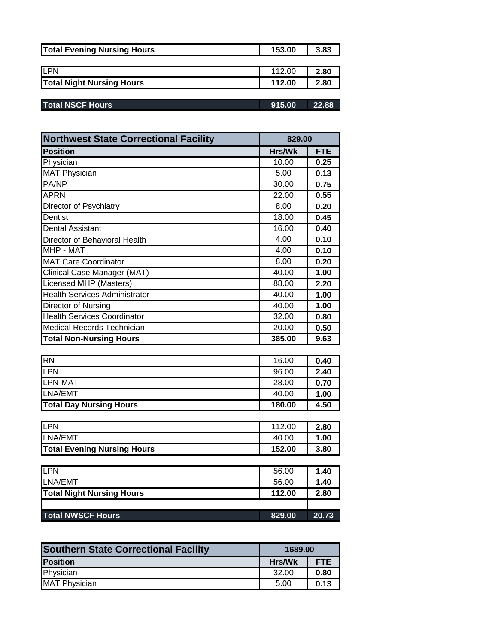| <b>Total Evening Nursing Hours</b> | 153.00 | 3.83 |
|------------------------------------|--------|------|
|                                    |        |      |
| <b>ILPN</b>                        | 112.00 | 2.80 |
| <b>Total Night Nursing Hours</b>   | 112.00 | 2.80 |
|                                    |        |      |

| <b>Total NSCF Hours</b> | 915.00 | 22.88 |
|-------------------------|--------|-------|
|                         |        |       |

| <b>Northwest State Correctional Facility</b><br>829.00 |        |      |
|--------------------------------------------------------|--------|------|
| <b>Position</b>                                        | Hrs/Wk | FTE  |
| Physician                                              | 10.00  | 0.25 |
| <b>MAT Physician</b>                                   | 5.00   | 0.13 |
| <b>PA/NP</b>                                           | 30.00  | 0.75 |
| <b>APRN</b>                                            | 22.00  | 0.55 |
| Director of Psychiatry                                 | 8.00   | 0.20 |
| Dentist                                                | 18.00  | 0.45 |
| <b>Dental Assistant</b>                                | 16.00  | 0.40 |
| Director of Behavioral Health                          | 4.00   | 0.10 |
| MHP - MAT                                              | 4.00   | 0.10 |
| <b>MAT Care Coordinator</b>                            | 8.00   | 0.20 |
| Clinical Case Manager (MAT)                            | 40.00  | 1.00 |
| Licensed MHP (Masters)                                 | 88.00  | 2.20 |
| <b>Health Services Administrator</b>                   | 40.00  | 1.00 |
| Director of Nursing                                    | 40.00  | 1.00 |
| <b>Health Services Coordinator</b>                     | 32.00  | 0.80 |
| <b>Medical Records Technician</b>                      | 20.00  | 0.50 |
| <b>Total Non-Nursing Hours</b>                         | 385.00 | 9.63 |

| <b>RN</b>                      | 16.00  | 0.40 |
|--------------------------------|--------|------|
| <b>LPN</b>                     | 96.00  | 2.40 |
| LPN-MAT                        | 28.00  | 0.70 |
| LNA/EMT                        | 40.00  | 1.00 |
| <b>Total Day Nursing Hours</b> | 180.00 | 4.50 |

| <b>ILPN</b>                        | 112.00 | 2.80 |
|------------------------------------|--------|------|
| LNA/EMT                            | 40.00  | 1.00 |
| <b>Total Evening Nursing Hours</b> | 152.00 | 3.80 |

| <b>ILPN</b>                      | 56.00  | 1.40  |
|----------------------------------|--------|-------|
| LNA/EMT                          | 56.00  | 1.40  |
| <b>Total Night Nursing Hours</b> | 112.00 | 2.80  |
|                                  |        |       |
| <b>Total NWSCF Hours</b>         | 829.00 | 20.73 |

| <b>Southern State Correctional Facility</b> | 1689.00       |            |
|---------------------------------------------|---------------|------------|
| <b>Position</b>                             | <b>Hrs/Wk</b> | <b>FTE</b> |
| Physician                                   | 32.00         | 0.80       |
| <b>MAT Physician</b>                        | 5.00          | 0.13       |